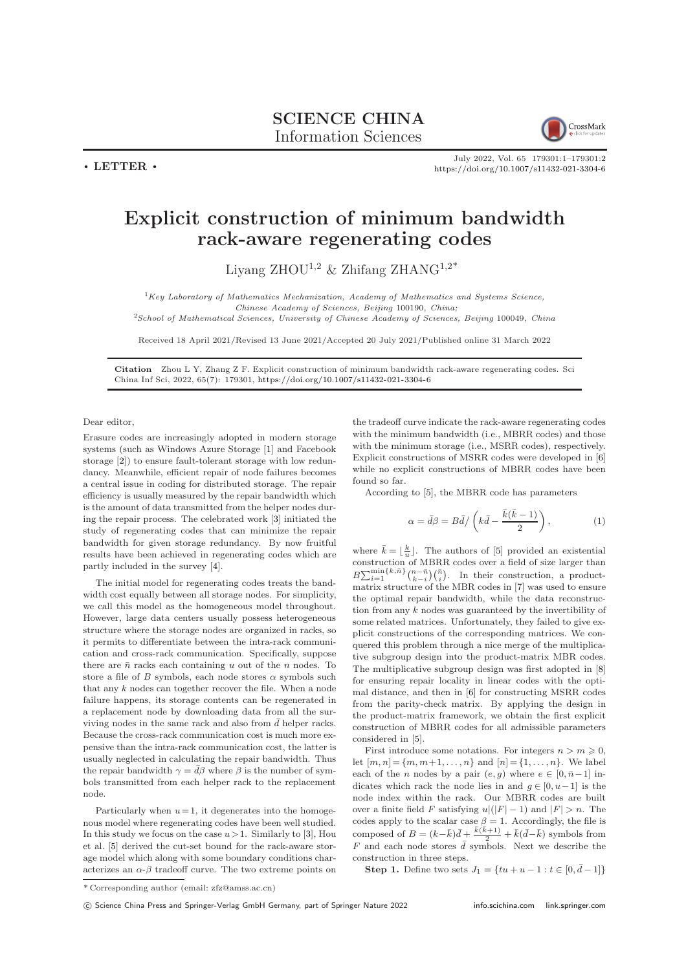

July 2022, Vol. 65 179301:1–179301[:2](#page-1-0) <https://doi.org/10.1007/s11432-021-3304-6>

## Explicit construction of minimum bandwidth rack-aware regenerating codes

Liyang ZHOU<sup>1,2</sup> & Zhifang ZHANG<sup>1,2\*</sup>

 ${}^{1}$ Key Laboratory of Mathematics Mechanization, Academy of Mathematics and Systems Science, Chinese Academy of Sciences, Beijing 100190, China;

<sup>2</sup>School of Mathematical Sciences, University of Chinese Academy of Sciences, Beijing 100049, China

Received 18 April 2021/Revised 13 June 2021/Accepted 20 July 2021/Published online 31 March 2022

Citation Zhou L Y, Zhang Z F. Explicit construction of minimum bandwidth rack-aware regenerating codes. Sci China Inf Sci, 2022, 65(7): 179301, <https://doi.org/10.1007/s11432-021-3304-6>

Dear editor,

 $\cdot$  LETTER  $\cdot$ 

Erasure codes are increasingly adopted in modern storage systems (such as Windows Azure Storage [\[1\]](#page-1-1) and Facebook storage [\[2\]](#page-1-2)) to ensure fault-tolerant storage with low redundancy. Meanwhile, efficient repair of node failures becomes a central issue in coding for distributed storage. The repair efficiency is usually measured by the repair bandwidth which is the amount of data transmitted from the helper nodes during the repair process. The celebrated work [\[3\]](#page-1-3) initiated the study of regenerating codes that can minimize the repair bandwidth for given storage redundancy. By now fruitful results have been achieved in regenerating codes which are partly included in the survey [\[4\]](#page-1-4).

The initial model for regenerating codes treats the bandwidth cost equally between all storage nodes. For simplicity, we call this model as the homogeneous model throughout. However, large data centers usually possess heterogeneous structure where the storage nodes are organized in racks, so it permits to differentiate between the intra-rack communication and cross-rack communication. Specifically, suppose there are  $\bar{n}$  racks each containing u out of the n nodes. To store a file of B symbols, each node stores  $\alpha$  symbols such that any k nodes can together recover the file. When a node failure happens, its storage contents can be regenerated in a replacement node by downloading data from all the surviving nodes in the same rack and also from  $\bar{d}$  helper racks. Because the cross-rack communication cost is much more expensive than the intra-rack communication cost, the latter is usually neglected in calculating the repair bandwidth. Thus the repair bandwidth  $\gamma = \bar{d}\beta$  where  $\beta$  is the number of symbols transmitted from each helper rack to the replacement node.

Particularly when  $u=1$ , it degenerates into the homogenous model where regenerating codes have been well studied. In this study we focus on the case  $u>1$ . Similarly to [\[3\]](#page-1-3), Hou et al. [\[5\]](#page-1-5) derived the cut-set bound for the rack-aware storage model which along with some boundary conditions characterizes an  $\alpha$ - $\beta$  tradeoff curve. The two extreme points on

the tradeoff curve indicate the rack-aware regenerating codes with the minimum bandwidth (i.e., MBRR codes) and those with the minimum storage (i.e., MSRR codes), respectively. Explicit constructions of MSRR codes were developed in [\[6\]](#page-1-6) while no explicit constructions of MBRR codes have been found so far.

According to [\[5\]](#page-1-5), the MBRR code has parameters

$$
\alpha = \bar{d}\beta = B\bar{d}/\left(k\bar{d} - \frac{\bar{k}(\bar{k} - 1)}{2}\right),\tag{1}
$$

where  $\bar{k} = \lfloor \frac{k}{u} \rfloor$ . The authors of [\[5\]](#page-1-5) provided an existential construction of MBRR codes over a field of size larger than  $B\sum_{i=1}^{\min\{k,\bar{n}\}}\binom{n-\bar{n}}{k-i}\binom{\bar{n}}{i}$ . In their construction, a productmatrix structure of the MBR codes in [\[7\]](#page-1-7) was used to ensure the optimal repair bandwidth, while the data reconstruction from any  $k$  nodes was guaranteed by the invertibility of some related matrices. Unfortunately, they failed to give explicit constructions of the corresponding matrices. We conquered this problem through a nice merge of the multiplicative subgroup design into the product-matrix MBR codes. The multiplicative subgroup design was first adopted in [\[8\]](#page-1-8) for ensuring repair locality in linear codes with the optimal distance, and then in [\[6\]](#page-1-6) for constructing MSRR codes from the parity-check matrix. By applying the design in the product-matrix framework, we obtain the first explicit construction of MBRR codes for all admissible parameters considered in [\[5\]](#page-1-5).

First introduce some notations. For integers  $n > m \geqslant 0$ , let  $[m, n] = \{m, m+1, \ldots, n\}$  and  $[n] = \{1, \ldots, n\}$ . We label each of the *n* nodes by a pair  $(e, g)$  where  $e \in [0, \bar{n} - 1]$  indicates which rack the node lies in and  $q \in [0, u-1]$  is the node index within the rack. Our MBRR codes are built over a finite field F satisfying  $u|(|F|-1)$  and  $|F| > n$ . The codes apply to the scalar case  $\beta = 1$ . Accordingly, the file is composed of  $B = (k - \bar{k})\bar{d} + \frac{\bar{k}(\bar{k}+1)}{2} + \bar{k}(\bar{d}-\bar{k})$  symbols from F and each node stores  $\bar{d}$  symbols. Next we describe the construction in three steps.

Step 1. Define two sets  $J_1 = \{tu + u - 1 : t \in [0, \bar{d} - 1]\}\$ 

<sup>\*</sup> Corresponding author (email: zfz@amss.ac.cn)

c Science China Press and Springer-Verlag GmbH Germany, part of Springer Nature 2022 <info.scichina.com><link.springer.com>